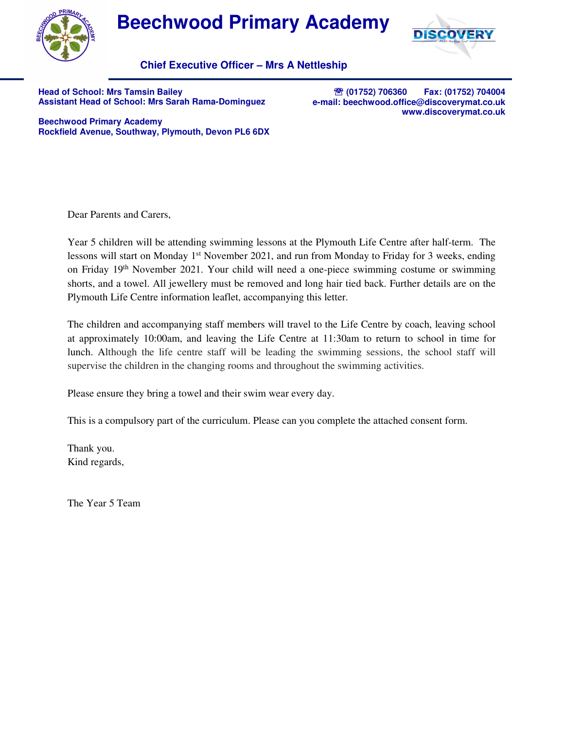

## **Beechwood Primary Academy**



**Chief Executive Officer – Mrs A Nettleship**

**Head of School: Mrs Tamsin Bailey Assistant Head of School: Mrs Sarah Rama-Dominguez** 

℡ **(01752) 706360 Fax: (01752) 704004 e-mail: beechwood.office@discoverymat.co.uk www.discoverymat.co.uk**

**Beechwood Primary Academy Rockfield Avenue, Southway, Plymouth, Devon PL6 6DX**

Dear Parents and Carers,

Year 5 children will be attending swimming lessons at the Plymouth Life Centre after half-term. The lessons will start on Monday  $1<sup>st</sup>$  November 2021, and run from Monday to Friday for 3 weeks, ending on Friday 19<sup>th</sup> November 2021. Your child will need a one-piece swimming costume or swimming shorts, and a towel. All jewellery must be removed and long hair tied back. Further details are on the Plymouth Life Centre information leaflet, accompanying this letter.

The children and accompanying staff members will travel to the Life Centre by coach, leaving school at approximately 10:00am, and leaving the Life Centre at 11:30am to return to school in time for lunch. Although the life centre staff will be leading the swimming sessions, the school staff will supervise the children in the changing rooms and throughout the swimming activities.

Please ensure they bring a towel and their swim wear every day.

This is a compulsory part of the curriculum. Please can you complete the attached consent form.

Thank you. Kind regards,

The Year 5 Team